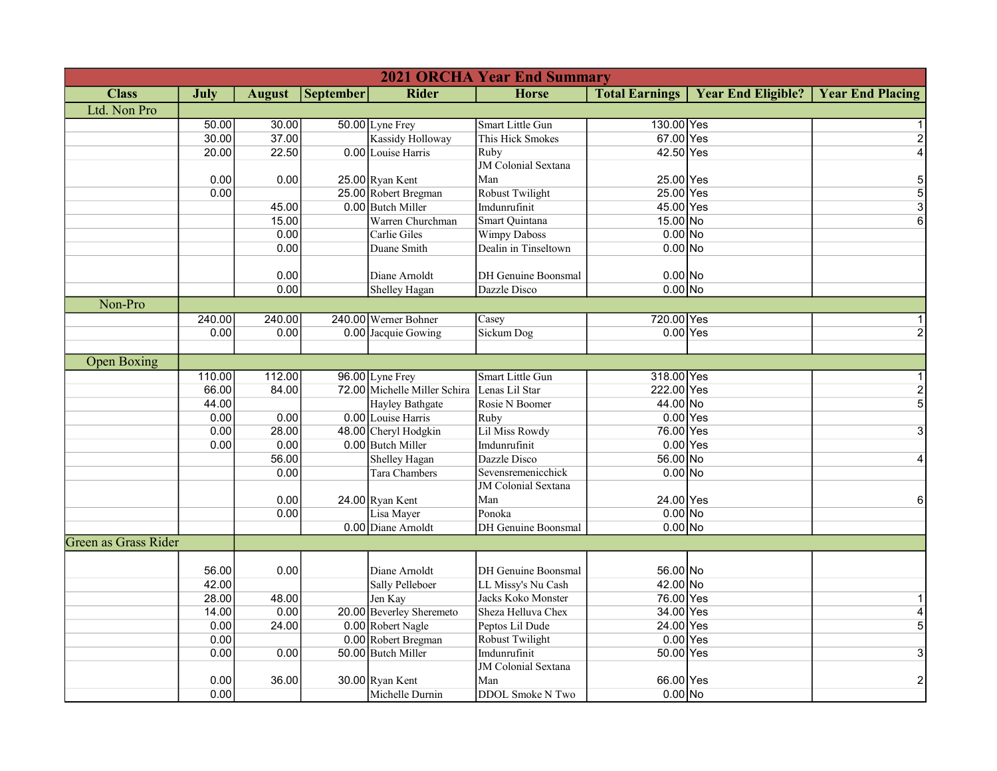|                      | <b>2021 ORCHA Year End Summary</b> |               |                  |                              |                            |                       |                           |                         |  |  |
|----------------------|------------------------------------|---------------|------------------|------------------------------|----------------------------|-----------------------|---------------------------|-------------------------|--|--|
| <b>Class</b>         | July                               | <b>August</b> | <b>September</b> | Rider                        | <b>Horse</b>               | <b>Total Earnings</b> | <b>Year End Eligible?</b> | <b>Year End Placing</b> |  |  |
| Ltd. Non Pro         |                                    |               |                  |                              |                            |                       |                           |                         |  |  |
|                      | 50.00                              | 30.00         |                  | 50.00 Lyne Frey              | Smart Little Gun           | 130.00 Yes            |                           |                         |  |  |
|                      | 30.00                              | 37.00         |                  | <b>Kassidy Holloway</b>      | This Hick Smokes           | 67.00 Yes             |                           |                         |  |  |
|                      | 20.00                              | 22.50         |                  | 0.00 Louise Harris           | Ruby                       | 42.50 Yes             |                           |                         |  |  |
|                      |                                    |               |                  |                              | <b>JM</b> Colonial Sextana |                       |                           |                         |  |  |
|                      | 0.00                               | 0.00          |                  | $25.00$ Ryan Kent            | Man                        | 25.00 Yes             |                           | 5                       |  |  |
|                      | 0.00                               |               |                  | 25.00 Robert Bregman         | Robust Twilight            | 25.00 Yes             |                           | 5                       |  |  |
|                      |                                    | 45.00         |                  | 0.00 Butch Miller            | Imdunrufinit               | 45.00 Yes             |                           | $\overline{3}$          |  |  |
|                      |                                    | 15.00         |                  | Warren Churchman             | Smart Quintana             | 15.00 No              |                           | 6                       |  |  |
|                      |                                    | 0.00          |                  | Carlie Giles                 | <b>Wimpy Daboss</b>        | $0.00$ No             |                           |                         |  |  |
|                      |                                    | 0.00          |                  | Duane Smith                  | Dealin in Tinseltown       | $0.00$ No             |                           |                         |  |  |
|                      |                                    |               |                  |                              |                            |                       |                           |                         |  |  |
|                      |                                    | 0.00          |                  | Diane Arnoldt                | DH Genuine Boonsmal        | $0.00$ No             |                           |                         |  |  |
|                      |                                    | 0.00          |                  | <b>Shelley Hagan</b>         | Dazzle Disco               | $0.00$ No             |                           |                         |  |  |
| Non-Pro              |                                    |               |                  |                              |                            |                       |                           |                         |  |  |
|                      | 240.00                             | 240.00        |                  | 240.00 Werner Bohner         | Casey                      | 720.00 Yes            |                           |                         |  |  |
|                      | 0.00                               | 0.00          |                  | 0.00 Jacquie Gowing          | <b>Sickum Dog</b>          | $0.00$ Yes            |                           |                         |  |  |
|                      |                                    |               |                  |                              |                            |                       |                           |                         |  |  |
| <b>Open Boxing</b>   |                                    |               |                  |                              |                            |                       |                           |                         |  |  |
|                      | 110.00                             | 112.00        |                  | 96.00 Lyne Frey              | <b>Smart Little Gun</b>    | 318.00 Yes            |                           |                         |  |  |
|                      | 66.00                              | 84.00         |                  | 72.00 Michelle Miller Schira | Lenas Lil Star             | 222.00 Yes            |                           | $\overline{2}$          |  |  |
|                      | 44.00                              |               |                  | Hayley Bathgate              | Rosie N Boomer             | 44.00 No              |                           | 5                       |  |  |
|                      | 0.00                               | 0.00          |                  | 0.00 Louise Harris           | Ruby                       | $0.00$ Yes            |                           |                         |  |  |
|                      | 0.00                               | 28.00         |                  | 48.00 Cheryl Hodgkin         | Lil Miss Rowdy             | 76.00 Yes             |                           | 3                       |  |  |
|                      | 0.00                               | 0.00          |                  | 0.00 Butch Miller            | Imdunrufinit               | $0.00$ Yes            |                           |                         |  |  |
|                      |                                    | 56.00         |                  | <b>Shelley Hagan</b>         | Dazzle Disco               | 56.00 No              |                           | 4                       |  |  |
|                      |                                    | 0.00          |                  | Tara Chambers                | Sevensremenicchick         | $0.00$ No             |                           |                         |  |  |
|                      |                                    |               |                  |                              | JM Colonial Sextana        |                       |                           |                         |  |  |
|                      |                                    | 0.00          |                  | 24.00 Ryan Kent              | Man                        | 24.00 Yes             |                           | 6                       |  |  |
|                      |                                    | 0.00          |                  | Lisa Mayer                   | Ponoka                     | $0.00$ No             |                           |                         |  |  |
|                      |                                    |               |                  | 0.00 Diane Arnoldt           | DH Genuine Boonsmal        | $0.00$ No             |                           |                         |  |  |
| Green as Grass Rider |                                    |               |                  |                              |                            |                       |                           |                         |  |  |
|                      |                                    |               |                  |                              |                            |                       |                           |                         |  |  |
|                      | 56.00                              | 0.00          |                  | Diane Arnoldt                | DH Genuine Boonsmal        | 56.00 No              |                           |                         |  |  |
|                      | 42.00                              |               |                  | Sally Pelleboer              | LL Missy's Nu Cash         | 42.00 No              |                           |                         |  |  |
|                      | 28.00                              | 48.00         |                  | Jen Kay                      | Jacks Koko Monster         | 76.00 Yes             |                           |                         |  |  |
|                      | 14.00                              | 0.00          |                  | 20.00 Beverley Sheremeto     | Sheza Helluva Chex         | 34.00 Yes             |                           |                         |  |  |
|                      | 0.00                               | 24.00         |                  | 0.00 Robert Nagle            | Peptos Lil Dude            | 24.00 Yes             |                           | 5                       |  |  |
|                      | 0.00                               |               |                  | 0.00 Robert Bregman          | Robust Twilight            | $0.00$ Yes            |                           |                         |  |  |
|                      | 0.00                               | 0.00          |                  | 50.00 Butch Miller           | Imdunrufinit               | 50.00 Yes             |                           | 3                       |  |  |
|                      |                                    |               |                  |                              | JM Colonial Sextana        |                       |                           |                         |  |  |
|                      | 0.00                               | 36.00         |                  | $30.00$ Ryan Kent            | Man                        | 66.00 Yes             |                           | $\overline{2}$          |  |  |
|                      | 0.00                               |               |                  | Michelle Durnin              | DDOL Smoke N Two           | $0.00$ No             |                           |                         |  |  |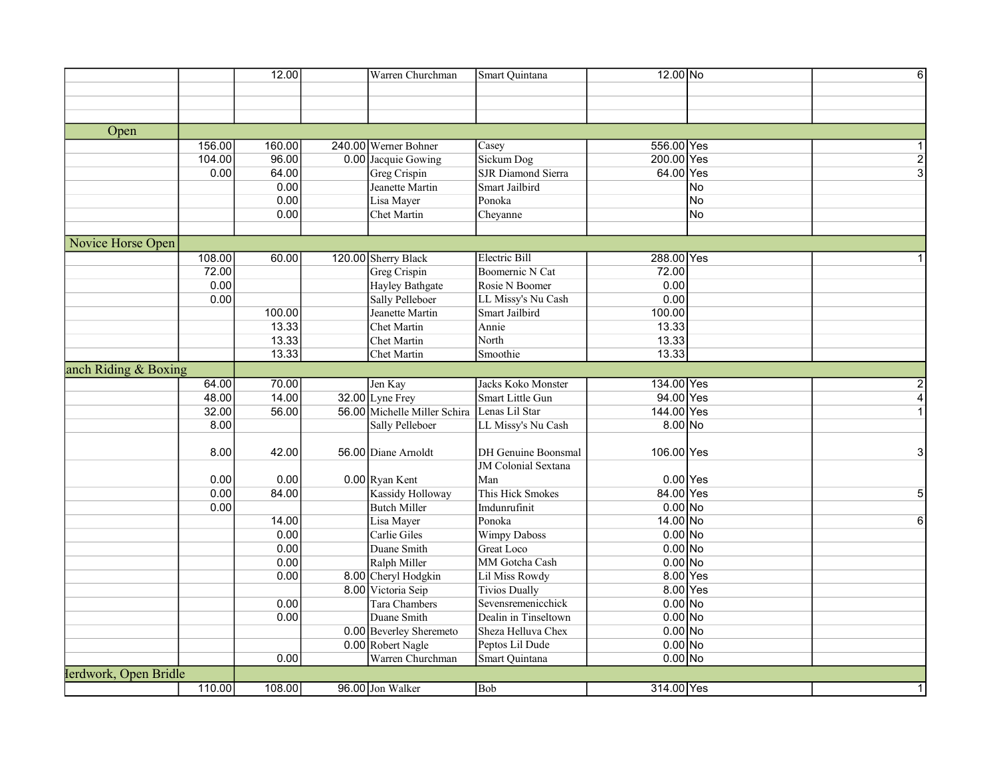| Open<br>156.00<br>160.00<br>240.00 Werner Bohner<br>556.00 Yes<br>Casey<br>104.00<br>96.00<br>Sickum Dog<br>200.00 Yes<br>0.00 Jacquie Gowing<br>$\overline{2}$<br>SJR Diamond Sierra<br>64.00<br>64.00 Yes<br>3<br>0.00<br><b>Greg Crispin</b><br>0.00<br>Jeanette Martin<br>Smart Jailbird<br>No<br>0.00<br>Lisa Mayer<br>Ponoka<br><b>No</b><br>0.00<br>Cheyanne<br><b>No</b><br>Chet Martin<br>Novice Horse Open<br>108.00<br>60.00<br><b>Electric Bill</b><br>288.00 Yes<br>120.00 Sherry Black<br>72.00<br>Boomernic N Cat<br>72.00<br>Greg Crispin<br>0.00<br><b>Hayley Bathgate</b><br>Rosie N Boomer<br>0.00<br>0.00<br>Sally Pelleboer<br>0.00<br>LL Missy's Nu Cash<br>100.00<br>Jeanette Martin<br>Smart Jailbird<br>100.00<br>13.33<br>13.33<br>Chet Martin<br>Annie<br>North<br>13.33<br>13.33<br><b>Chet Martin</b><br>13.33<br>Smoothie<br>13.33<br><b>Chet Martin</b><br>anch Riding & Boxing<br>64.00<br>134.00 Yes<br>70.00<br>Jacks Koko Monster<br>Jen Kay<br>94.00 Yes<br>48.00<br>14.00<br>$32.00$ Lyne Frey<br>Smart Little Gun<br>4<br>144.00 Yes<br>32.00<br>56.00<br>56.00 Michelle Miller Schira<br>Lenas Lil Star<br>8.00<br>8.00 No<br><b>Sally Pelleboer</b><br>LL Missy's Nu Cash<br>8.00<br>42.00<br>56.00 Diane Arnoldt<br>DH Genuine Boonsmal<br>106.00 Yes<br>3<br><b>JM</b> Colonial Sextana<br>0.00<br>0.00<br>$0.00$ Ryan Kent<br>$0.00$ Yes<br>Man<br>0.00<br>84.00<br>This Hick Smokes<br>84.00 Yes<br><b>Kassidy Holloway</b><br>5<br><b>Butch Miller</b><br>$0.00$ No<br>0.00<br>Imdunrufinit<br>14.00<br>14.00 No<br>Lisa Mayer<br>Ponoka<br>$6 \mid$<br>0.00<br>$0.00$ No<br>Carlie Giles<br><b>Wimpy Daboss</b><br>0.00<br>Duane Smith<br>$0.00$ No<br><b>Great Loco</b><br>0.00<br>MM Gotcha Cash<br>$0.00$ No<br>Ralph Miller<br>8.00 Yes<br>8.00 Cheryl Hodgkin<br>0.00<br>Lil Miss Rowdy<br>8.00 Victoria Seip<br>8.00 Yes<br><b>Tivios Dually</b><br>0.00<br>$0.00$ No<br>Tara Chambers<br>Sevensremenicchick<br>$0.00$ No<br>0.00<br>Duane Smith<br>Dealin in Tinseltown<br>0.00 Beverley Sheremeto<br>Sheza Helluva Chex<br>$0.00$ No<br>$0.00$ No<br>0.00 Robert Nagle<br>Peptos Lil Dude<br>0.00<br>Warren Churchman<br>Smart Quintana<br>$0.00$ No<br>Ierdwork, Open Bridle<br>96.00 Jon Walker<br>314.00 Yes<br>108.00<br>Bob<br>110.00 |  | 12.00 | Warren Churchman | Smart Ouintana | 12.00 No | $6 \mid$ |
|--------------------------------------------------------------------------------------------------------------------------------------------------------------------------------------------------------------------------------------------------------------------------------------------------------------------------------------------------------------------------------------------------------------------------------------------------------------------------------------------------------------------------------------------------------------------------------------------------------------------------------------------------------------------------------------------------------------------------------------------------------------------------------------------------------------------------------------------------------------------------------------------------------------------------------------------------------------------------------------------------------------------------------------------------------------------------------------------------------------------------------------------------------------------------------------------------------------------------------------------------------------------------------------------------------------------------------------------------------------------------------------------------------------------------------------------------------------------------------------------------------------------------------------------------------------------------------------------------------------------------------------------------------------------------------------------------------------------------------------------------------------------------------------------------------------------------------------------------------------------------------------------------------------------------------------------------------------------------------------------------------------------------------------------------------------------------------------------------------------------------------------------------------------------------------------------------------------------------------------------------------------------------------------------------|--|-------|------------------|----------------|----------|----------|
|                                                                                                                                                                                                                                                                                                                                                                                                                                                                                                                                                                                                                                                                                                                                                                                                                                                                                                                                                                                                                                                                                                                                                                                                                                                                                                                                                                                                                                                                                                                                                                                                                                                                                                                                                                                                                                                                                                                                                                                                                                                                                                                                                                                                                                                                                                  |  |       |                  |                |          |          |
|                                                                                                                                                                                                                                                                                                                                                                                                                                                                                                                                                                                                                                                                                                                                                                                                                                                                                                                                                                                                                                                                                                                                                                                                                                                                                                                                                                                                                                                                                                                                                                                                                                                                                                                                                                                                                                                                                                                                                                                                                                                                                                                                                                                                                                                                                                  |  |       |                  |                |          |          |
|                                                                                                                                                                                                                                                                                                                                                                                                                                                                                                                                                                                                                                                                                                                                                                                                                                                                                                                                                                                                                                                                                                                                                                                                                                                                                                                                                                                                                                                                                                                                                                                                                                                                                                                                                                                                                                                                                                                                                                                                                                                                                                                                                                                                                                                                                                  |  |       |                  |                |          |          |
|                                                                                                                                                                                                                                                                                                                                                                                                                                                                                                                                                                                                                                                                                                                                                                                                                                                                                                                                                                                                                                                                                                                                                                                                                                                                                                                                                                                                                                                                                                                                                                                                                                                                                                                                                                                                                                                                                                                                                                                                                                                                                                                                                                                                                                                                                                  |  |       |                  |                |          |          |
|                                                                                                                                                                                                                                                                                                                                                                                                                                                                                                                                                                                                                                                                                                                                                                                                                                                                                                                                                                                                                                                                                                                                                                                                                                                                                                                                                                                                                                                                                                                                                                                                                                                                                                                                                                                                                                                                                                                                                                                                                                                                                                                                                                                                                                                                                                  |  |       |                  |                |          |          |
|                                                                                                                                                                                                                                                                                                                                                                                                                                                                                                                                                                                                                                                                                                                                                                                                                                                                                                                                                                                                                                                                                                                                                                                                                                                                                                                                                                                                                                                                                                                                                                                                                                                                                                                                                                                                                                                                                                                                                                                                                                                                                                                                                                                                                                                                                                  |  |       |                  |                |          |          |
|                                                                                                                                                                                                                                                                                                                                                                                                                                                                                                                                                                                                                                                                                                                                                                                                                                                                                                                                                                                                                                                                                                                                                                                                                                                                                                                                                                                                                                                                                                                                                                                                                                                                                                                                                                                                                                                                                                                                                                                                                                                                                                                                                                                                                                                                                                  |  |       |                  |                |          |          |
|                                                                                                                                                                                                                                                                                                                                                                                                                                                                                                                                                                                                                                                                                                                                                                                                                                                                                                                                                                                                                                                                                                                                                                                                                                                                                                                                                                                                                                                                                                                                                                                                                                                                                                                                                                                                                                                                                                                                                                                                                                                                                                                                                                                                                                                                                                  |  |       |                  |                |          |          |
|                                                                                                                                                                                                                                                                                                                                                                                                                                                                                                                                                                                                                                                                                                                                                                                                                                                                                                                                                                                                                                                                                                                                                                                                                                                                                                                                                                                                                                                                                                                                                                                                                                                                                                                                                                                                                                                                                                                                                                                                                                                                                                                                                                                                                                                                                                  |  |       |                  |                |          |          |
|                                                                                                                                                                                                                                                                                                                                                                                                                                                                                                                                                                                                                                                                                                                                                                                                                                                                                                                                                                                                                                                                                                                                                                                                                                                                                                                                                                                                                                                                                                                                                                                                                                                                                                                                                                                                                                                                                                                                                                                                                                                                                                                                                                                                                                                                                                  |  |       |                  |                |          |          |
|                                                                                                                                                                                                                                                                                                                                                                                                                                                                                                                                                                                                                                                                                                                                                                                                                                                                                                                                                                                                                                                                                                                                                                                                                                                                                                                                                                                                                                                                                                                                                                                                                                                                                                                                                                                                                                                                                                                                                                                                                                                                                                                                                                                                                                                                                                  |  |       |                  |                |          |          |
|                                                                                                                                                                                                                                                                                                                                                                                                                                                                                                                                                                                                                                                                                                                                                                                                                                                                                                                                                                                                                                                                                                                                                                                                                                                                                                                                                                                                                                                                                                                                                                                                                                                                                                                                                                                                                                                                                                                                                                                                                                                                                                                                                                                                                                                                                                  |  |       |                  |                |          |          |
|                                                                                                                                                                                                                                                                                                                                                                                                                                                                                                                                                                                                                                                                                                                                                                                                                                                                                                                                                                                                                                                                                                                                                                                                                                                                                                                                                                                                                                                                                                                                                                                                                                                                                                                                                                                                                                                                                                                                                                                                                                                                                                                                                                                                                                                                                                  |  |       |                  |                |          |          |
|                                                                                                                                                                                                                                                                                                                                                                                                                                                                                                                                                                                                                                                                                                                                                                                                                                                                                                                                                                                                                                                                                                                                                                                                                                                                                                                                                                                                                                                                                                                                                                                                                                                                                                                                                                                                                                                                                                                                                                                                                                                                                                                                                                                                                                                                                                  |  |       |                  |                |          |          |
|                                                                                                                                                                                                                                                                                                                                                                                                                                                                                                                                                                                                                                                                                                                                                                                                                                                                                                                                                                                                                                                                                                                                                                                                                                                                                                                                                                                                                                                                                                                                                                                                                                                                                                                                                                                                                                                                                                                                                                                                                                                                                                                                                                                                                                                                                                  |  |       |                  |                |          |          |
|                                                                                                                                                                                                                                                                                                                                                                                                                                                                                                                                                                                                                                                                                                                                                                                                                                                                                                                                                                                                                                                                                                                                                                                                                                                                                                                                                                                                                                                                                                                                                                                                                                                                                                                                                                                                                                                                                                                                                                                                                                                                                                                                                                                                                                                                                                  |  |       |                  |                |          |          |
|                                                                                                                                                                                                                                                                                                                                                                                                                                                                                                                                                                                                                                                                                                                                                                                                                                                                                                                                                                                                                                                                                                                                                                                                                                                                                                                                                                                                                                                                                                                                                                                                                                                                                                                                                                                                                                                                                                                                                                                                                                                                                                                                                                                                                                                                                                  |  |       |                  |                |          |          |
|                                                                                                                                                                                                                                                                                                                                                                                                                                                                                                                                                                                                                                                                                                                                                                                                                                                                                                                                                                                                                                                                                                                                                                                                                                                                                                                                                                                                                                                                                                                                                                                                                                                                                                                                                                                                                                                                                                                                                                                                                                                                                                                                                                                                                                                                                                  |  |       |                  |                |          |          |
|                                                                                                                                                                                                                                                                                                                                                                                                                                                                                                                                                                                                                                                                                                                                                                                                                                                                                                                                                                                                                                                                                                                                                                                                                                                                                                                                                                                                                                                                                                                                                                                                                                                                                                                                                                                                                                                                                                                                                                                                                                                                                                                                                                                                                                                                                                  |  |       |                  |                |          |          |
|                                                                                                                                                                                                                                                                                                                                                                                                                                                                                                                                                                                                                                                                                                                                                                                                                                                                                                                                                                                                                                                                                                                                                                                                                                                                                                                                                                                                                                                                                                                                                                                                                                                                                                                                                                                                                                                                                                                                                                                                                                                                                                                                                                                                                                                                                                  |  |       |                  |                |          |          |
|                                                                                                                                                                                                                                                                                                                                                                                                                                                                                                                                                                                                                                                                                                                                                                                                                                                                                                                                                                                                                                                                                                                                                                                                                                                                                                                                                                                                                                                                                                                                                                                                                                                                                                                                                                                                                                                                                                                                                                                                                                                                                                                                                                                                                                                                                                  |  |       |                  |                |          |          |
|                                                                                                                                                                                                                                                                                                                                                                                                                                                                                                                                                                                                                                                                                                                                                                                                                                                                                                                                                                                                                                                                                                                                                                                                                                                                                                                                                                                                                                                                                                                                                                                                                                                                                                                                                                                                                                                                                                                                                                                                                                                                                                                                                                                                                                                                                                  |  |       |                  |                |          |          |
|                                                                                                                                                                                                                                                                                                                                                                                                                                                                                                                                                                                                                                                                                                                                                                                                                                                                                                                                                                                                                                                                                                                                                                                                                                                                                                                                                                                                                                                                                                                                                                                                                                                                                                                                                                                                                                                                                                                                                                                                                                                                                                                                                                                                                                                                                                  |  |       |                  |                |          |          |
|                                                                                                                                                                                                                                                                                                                                                                                                                                                                                                                                                                                                                                                                                                                                                                                                                                                                                                                                                                                                                                                                                                                                                                                                                                                                                                                                                                                                                                                                                                                                                                                                                                                                                                                                                                                                                                                                                                                                                                                                                                                                                                                                                                                                                                                                                                  |  |       |                  |                |          |          |
|                                                                                                                                                                                                                                                                                                                                                                                                                                                                                                                                                                                                                                                                                                                                                                                                                                                                                                                                                                                                                                                                                                                                                                                                                                                                                                                                                                                                                                                                                                                                                                                                                                                                                                                                                                                                                                                                                                                                                                                                                                                                                                                                                                                                                                                                                                  |  |       |                  |                |          |          |
|                                                                                                                                                                                                                                                                                                                                                                                                                                                                                                                                                                                                                                                                                                                                                                                                                                                                                                                                                                                                                                                                                                                                                                                                                                                                                                                                                                                                                                                                                                                                                                                                                                                                                                                                                                                                                                                                                                                                                                                                                                                                                                                                                                                                                                                                                                  |  |       |                  |                |          |          |
|                                                                                                                                                                                                                                                                                                                                                                                                                                                                                                                                                                                                                                                                                                                                                                                                                                                                                                                                                                                                                                                                                                                                                                                                                                                                                                                                                                                                                                                                                                                                                                                                                                                                                                                                                                                                                                                                                                                                                                                                                                                                                                                                                                                                                                                                                                  |  |       |                  |                |          |          |
|                                                                                                                                                                                                                                                                                                                                                                                                                                                                                                                                                                                                                                                                                                                                                                                                                                                                                                                                                                                                                                                                                                                                                                                                                                                                                                                                                                                                                                                                                                                                                                                                                                                                                                                                                                                                                                                                                                                                                                                                                                                                                                                                                                                                                                                                                                  |  |       |                  |                |          |          |
|                                                                                                                                                                                                                                                                                                                                                                                                                                                                                                                                                                                                                                                                                                                                                                                                                                                                                                                                                                                                                                                                                                                                                                                                                                                                                                                                                                                                                                                                                                                                                                                                                                                                                                                                                                                                                                                                                                                                                                                                                                                                                                                                                                                                                                                                                                  |  |       |                  |                |          |          |
|                                                                                                                                                                                                                                                                                                                                                                                                                                                                                                                                                                                                                                                                                                                                                                                                                                                                                                                                                                                                                                                                                                                                                                                                                                                                                                                                                                                                                                                                                                                                                                                                                                                                                                                                                                                                                                                                                                                                                                                                                                                                                                                                                                                                                                                                                                  |  |       |                  |                |          |          |
|                                                                                                                                                                                                                                                                                                                                                                                                                                                                                                                                                                                                                                                                                                                                                                                                                                                                                                                                                                                                                                                                                                                                                                                                                                                                                                                                                                                                                                                                                                                                                                                                                                                                                                                                                                                                                                                                                                                                                                                                                                                                                                                                                                                                                                                                                                  |  |       |                  |                |          |          |
|                                                                                                                                                                                                                                                                                                                                                                                                                                                                                                                                                                                                                                                                                                                                                                                                                                                                                                                                                                                                                                                                                                                                                                                                                                                                                                                                                                                                                                                                                                                                                                                                                                                                                                                                                                                                                                                                                                                                                                                                                                                                                                                                                                                                                                                                                                  |  |       |                  |                |          |          |
|                                                                                                                                                                                                                                                                                                                                                                                                                                                                                                                                                                                                                                                                                                                                                                                                                                                                                                                                                                                                                                                                                                                                                                                                                                                                                                                                                                                                                                                                                                                                                                                                                                                                                                                                                                                                                                                                                                                                                                                                                                                                                                                                                                                                                                                                                                  |  |       |                  |                |          |          |
|                                                                                                                                                                                                                                                                                                                                                                                                                                                                                                                                                                                                                                                                                                                                                                                                                                                                                                                                                                                                                                                                                                                                                                                                                                                                                                                                                                                                                                                                                                                                                                                                                                                                                                                                                                                                                                                                                                                                                                                                                                                                                                                                                                                                                                                                                                  |  |       |                  |                |          |          |
|                                                                                                                                                                                                                                                                                                                                                                                                                                                                                                                                                                                                                                                                                                                                                                                                                                                                                                                                                                                                                                                                                                                                                                                                                                                                                                                                                                                                                                                                                                                                                                                                                                                                                                                                                                                                                                                                                                                                                                                                                                                                                                                                                                                                                                                                                                  |  |       |                  |                |          |          |
|                                                                                                                                                                                                                                                                                                                                                                                                                                                                                                                                                                                                                                                                                                                                                                                                                                                                                                                                                                                                                                                                                                                                                                                                                                                                                                                                                                                                                                                                                                                                                                                                                                                                                                                                                                                                                                                                                                                                                                                                                                                                                                                                                                                                                                                                                                  |  |       |                  |                |          |          |
|                                                                                                                                                                                                                                                                                                                                                                                                                                                                                                                                                                                                                                                                                                                                                                                                                                                                                                                                                                                                                                                                                                                                                                                                                                                                                                                                                                                                                                                                                                                                                                                                                                                                                                                                                                                                                                                                                                                                                                                                                                                                                                                                                                                                                                                                                                  |  |       |                  |                |          |          |
|                                                                                                                                                                                                                                                                                                                                                                                                                                                                                                                                                                                                                                                                                                                                                                                                                                                                                                                                                                                                                                                                                                                                                                                                                                                                                                                                                                                                                                                                                                                                                                                                                                                                                                                                                                                                                                                                                                                                                                                                                                                                                                                                                                                                                                                                                                  |  |       |                  |                |          |          |
|                                                                                                                                                                                                                                                                                                                                                                                                                                                                                                                                                                                                                                                                                                                                                                                                                                                                                                                                                                                                                                                                                                                                                                                                                                                                                                                                                                                                                                                                                                                                                                                                                                                                                                                                                                                                                                                                                                                                                                                                                                                                                                                                                                                                                                                                                                  |  |       |                  |                |          |          |
|                                                                                                                                                                                                                                                                                                                                                                                                                                                                                                                                                                                                                                                                                                                                                                                                                                                                                                                                                                                                                                                                                                                                                                                                                                                                                                                                                                                                                                                                                                                                                                                                                                                                                                                                                                                                                                                                                                                                                                                                                                                                                                                                                                                                                                                                                                  |  |       |                  |                |          |          |
|                                                                                                                                                                                                                                                                                                                                                                                                                                                                                                                                                                                                                                                                                                                                                                                                                                                                                                                                                                                                                                                                                                                                                                                                                                                                                                                                                                                                                                                                                                                                                                                                                                                                                                                                                                                                                                                                                                                                                                                                                                                                                                                                                                                                                                                                                                  |  |       |                  |                |          |          |
|                                                                                                                                                                                                                                                                                                                                                                                                                                                                                                                                                                                                                                                                                                                                                                                                                                                                                                                                                                                                                                                                                                                                                                                                                                                                                                                                                                                                                                                                                                                                                                                                                                                                                                                                                                                                                                                                                                                                                                                                                                                                                                                                                                                                                                                                                                  |  |       |                  |                |          |          |
|                                                                                                                                                                                                                                                                                                                                                                                                                                                                                                                                                                                                                                                                                                                                                                                                                                                                                                                                                                                                                                                                                                                                                                                                                                                                                                                                                                                                                                                                                                                                                                                                                                                                                                                                                                                                                                                                                                                                                                                                                                                                                                                                                                                                                                                                                                  |  |       |                  |                |          |          |
|                                                                                                                                                                                                                                                                                                                                                                                                                                                                                                                                                                                                                                                                                                                                                                                                                                                                                                                                                                                                                                                                                                                                                                                                                                                                                                                                                                                                                                                                                                                                                                                                                                                                                                                                                                                                                                                                                                                                                                                                                                                                                                                                                                                                                                                                                                  |  |       |                  |                |          |          |
|                                                                                                                                                                                                                                                                                                                                                                                                                                                                                                                                                                                                                                                                                                                                                                                                                                                                                                                                                                                                                                                                                                                                                                                                                                                                                                                                                                                                                                                                                                                                                                                                                                                                                                                                                                                                                                                                                                                                                                                                                                                                                                                                                                                                                                                                                                  |  |       |                  |                |          |          |